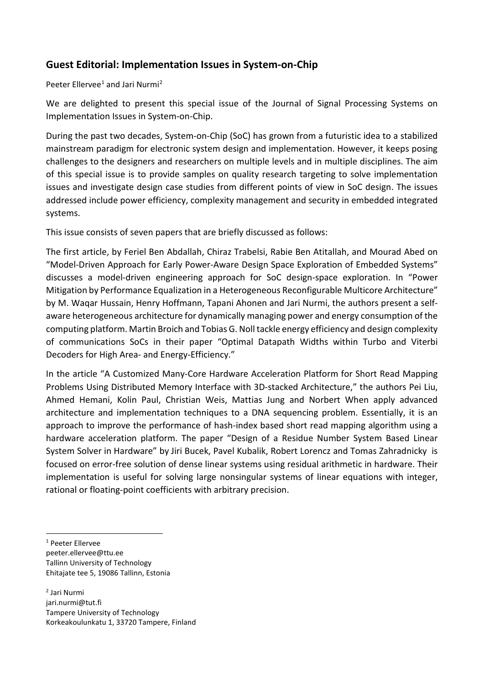## **Guest Editorial: Implementation Issues in System-on-Chip**

## Peeter Ellervee<sup>[1](#page-0-0)</sup> and Jari Nurmi<sup>[2](#page-0-1)</sup>

We are delighted to present this special issue of the Journal of Signal Processing Systems on Implementation Issues in System-on-Chip.

During the past two decades, System-on-Chip (SoC) has grown from a futuristic idea to a stabilized mainstream paradigm for electronic system design and implementation. However, it keeps posing challenges to the designers and researchers on multiple levels and in multiple disciplines. The aim of this special issue is to provide samples on quality research targeting to solve implementation issues and investigate design case studies from different points of view in SoC design. The issues addressed include power efficiency, complexity management and security in embedded integrated systems.

This issue consists of seven papers that are briefly discussed as follows:

The first article, by Feriel Ben Abdallah, Chiraz Trabelsi, Rabie Ben Atitallah, and Mourad Abed on "Model-Driven Approach for Early Power-Aware Design Space Exploration of Embedded Systems" discusses a model-driven engineering approach for SoC design-space exploration. In "Power Mitigation by Performance Equalization in a Heterogeneous Reconfigurable Multicore Architecture" by M. Waqar Hussain, Henry Hoffmann, Tapani Ahonen and Jari Nurmi, the authors present a selfaware heterogeneous architecture for dynamically managing power and energy consumption of the computing platform. Martin Broich and Tobias G. Noll tackle energy efficiency and design complexity of communications SoCs in their paper "Optimal Datapath Widths within Turbo and Viterbi Decoders for High Area- and Energy-Efficiency."

In the article "A Customized Many-Core Hardware Acceleration Platform for Short Read Mapping Problems Using Distributed Memory Interface with 3D-stacked Architecture," the authors Pei Liu, Ahmed Hemani, Kolin Paul, Christian Weis, Mattias Jung and Norbert When apply advanced architecture and implementation techniques to a DNA sequencing problem. Essentially, it is an approach to improve the performance of hash-index based short read mapping algorithm using a hardware acceleration platform. The paper "Design of a Residue Number System Based Linear System Solver in Hardware" by Jiri Bucek, Pavel Kubalik, Robert Lorencz and Tomas Zahradnicky is focused on error-free solution of dense linear systems using residual arithmetic in hardware. Their implementation is useful for solving large nonsingular systems of linear equations with integer, rational or floating-point coefficients with arbitrary precision.

<span id="page-0-0"></span><sup>1</sup> Peeter Ellervee peeter.ellervee@ttu.ee Tallinn University of Technology Ehitajate tee 5, 19086 Tallinn, Estonia

<span id="page-0-1"></span><sup>2</sup> Jari Nurmi jari.nurmi@tut.fi Tampere University of Technology Korkeakoulunkatu 1, 33720 Tampere, Finland